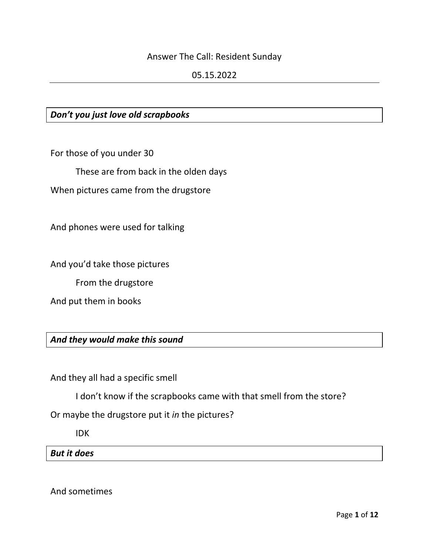#### Answer The Call: Resident Sunday

#### 05.15.2022

### *Don't you just love old scrapbooks*

For those of you under 30

These are from back in the olden days

When pictures came from the drugstore

And phones were used for talking

And you'd take those pictures

From the drugstore

And put them in books

*And they would make this sound*

And they all had a specific smell

I don't know if the scrapbooks came with that smell from the store?

Or maybe the drugstore put it *in* the pictures?

IDK

*But it does*

And sometimes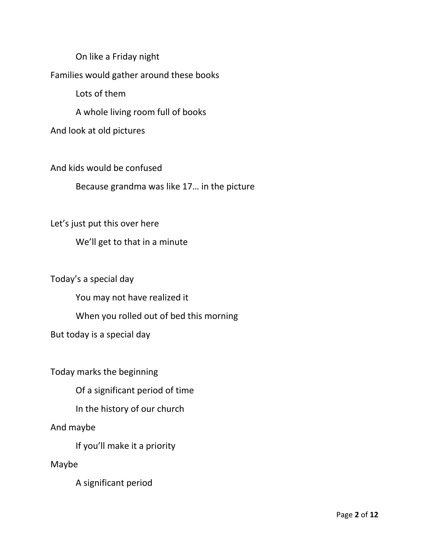On like a Friday night Families would gather around these books Lots of them A whole living room full of books And look at old pictures

And kids would be confused

Because grandma was like 17… in the picture

Let's just put this over here

We'll get to that in a minute

Today's a special day

You may not have realized it

When you rolled out of bed this morning

But today is a special day

Today marks the beginning

Of a significant period of time

In the history of our church

And maybe

If you'll make it a priority

Maybe

A significant period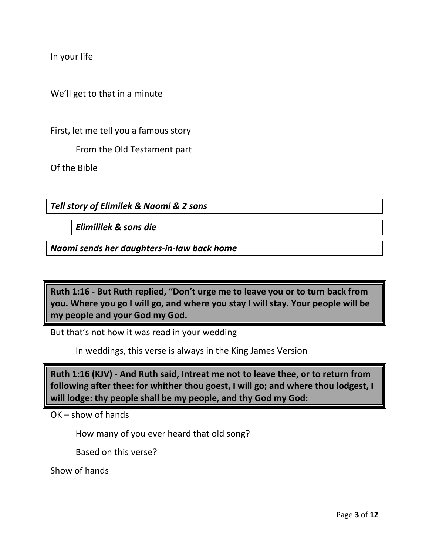In your life

We'll get to that in a minute

First, let me tell you a famous story

From the Old Testament part

Of the Bible

*Tell story of Elimilek & Naomi & 2 sons*

*Elimililek & sons die*

*Naomi sends her daughters-in-law back home*

**Ruth 1:16 - But Ruth replied, "Don't urge me to leave you or to turn back from you. Where you go I will go, and where you stay I will stay. Your people will be my people and your God my God.**

But that's not how it was read in your wedding

In weddings, this verse is always in the King James Version

**Ruth 1:16 (KJV) - And Ruth said, Intreat me not to leave thee, or to return from following after thee: for whither thou goest, I will go; and where thou lodgest, I will lodge: thy people shall be my people, and thy God my God:**

OK – show of hands

How many of you ever heard that old song?

Based on this verse?

Show of hands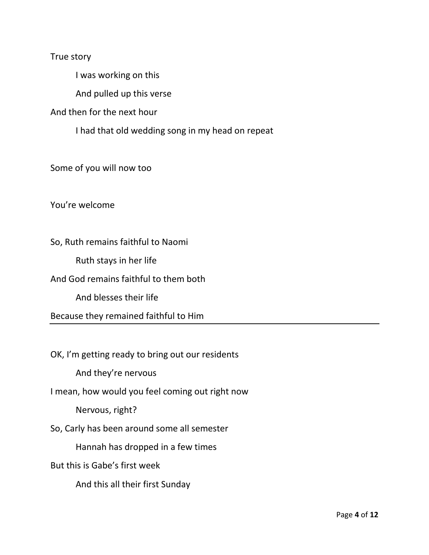True story

I was working on this

And pulled up this verse

And then for the next hour

I had that old wedding song in my head on repeat

Some of you will now too

You're welcome

So, Ruth remains faithful to Naomi Ruth stays in her life And God remains faithful to them both And blesses their life Because they remained faithful to Him

OK, I'm getting ready to bring out our residents

And they're nervous

I mean, how would you feel coming out right now

Nervous, right?

So, Carly has been around some all semester

Hannah has dropped in a few times

But this is Gabe's first week

And this all their first Sunday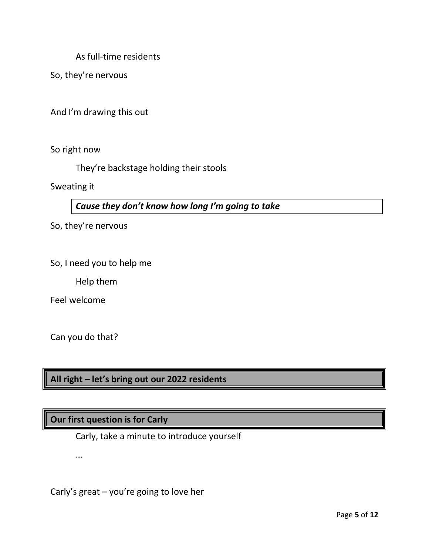As full-time residents

So, they're nervous

And I'm drawing this out

So right now

They're backstage holding their stools

Sweating it

*Cause they don't know how long I'm going to take*

So, they're nervous

So, I need you to help me

Help them

Feel welcome

Can you do that?

…

**All right – let's bring out our 2022 residents**

## **Our first question is for Carly**

Carly, take a minute to introduce yourself

Carly's great – you're going to love her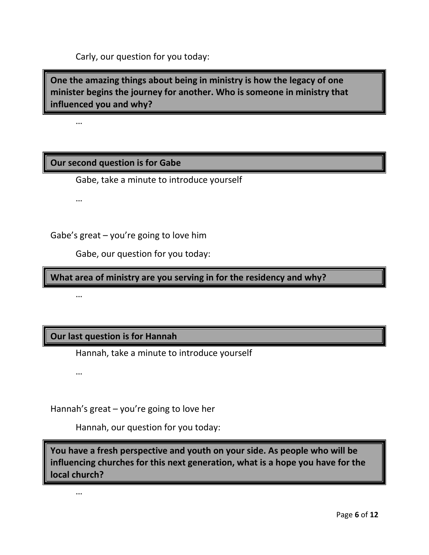Carly, our question for you today:

**One the amazing things about being in ministry is how the legacy of one minister begins the journey for another. Who is someone in ministry that influenced you and why?**

…

### **Our second question is for Gabe**

Gabe, take a minute to introduce yourself

…

Gabe's great – you're going to love him

Gabe, our question for you today:

**What area of ministry are you serving in for the residency and why?**

…

## **Our last question is for Hannah**

Hannah, take a minute to introduce yourself

…

Hannah's great – you're going to love her

Hannah, our question for you today:

**You have a fresh perspective and youth on your side. As people who will be influencing churches for this next generation, what is a hope you have for the local church?**

…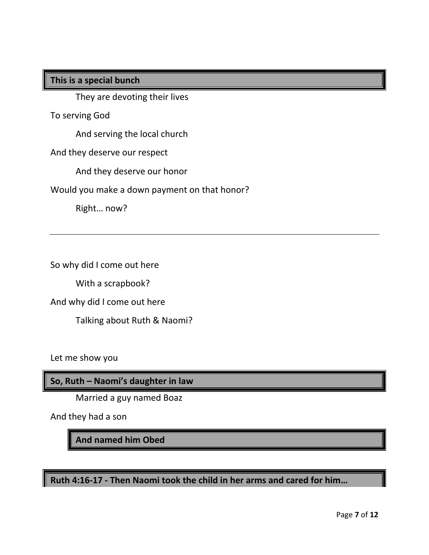### **This is a special bunch**

They are devoting their lives

To serving God

And serving the local church

And they deserve our respect

And they deserve our honor

Would you make a down payment on that honor?

Right… now?

So why did I come out here

With a scrapbook?

And why did I come out here

Talking about Ruth & Naomi?

Let me show you

**So, Ruth – Naomi's daughter in law**

Married a guy named Boaz

And they had a son

**And named him Obed**

**Ruth 4:16-17 - Then Naomi took the child in her arms and cared for him…**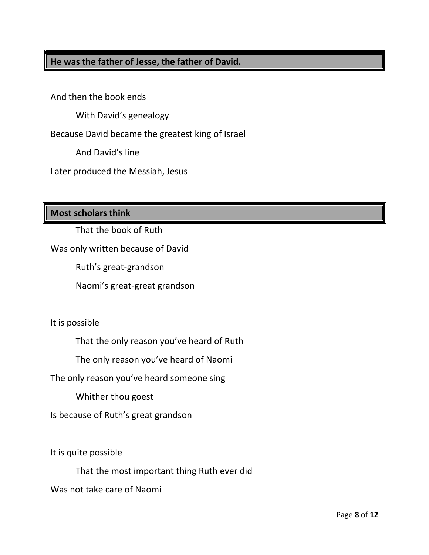# **He was the father of Jesse, the father of David.**

And then the book ends

With David's genealogy

Because David became the greatest king of Israel

And David's line

Later produced the Messiah, Jesus

**Most scholars think**

That the book of Ruth

Was only written because of David

Ruth's great-grandson

Naomi's great-great grandson

It is possible

That the only reason you've heard of Ruth

The only reason you've heard of Naomi

The only reason you've heard someone sing

Whither thou goest

Is because of Ruth's great grandson

It is quite possible

That the most important thing Ruth ever did

Was not take care of Naomi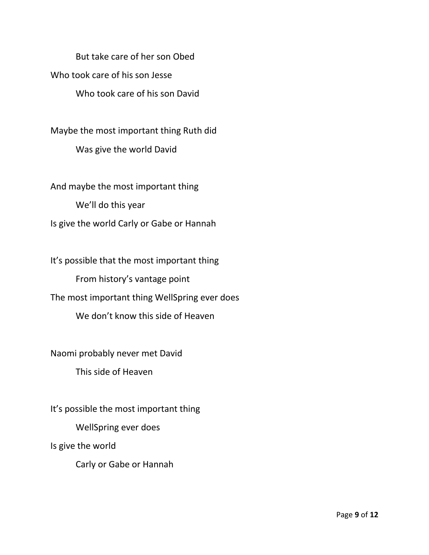But take care of her son Obed Who took care of his son Jesse Who took care of his son David

Maybe the most important thing Ruth did Was give the world David

And maybe the most important thing We'll do this year Is give the world Carly or Gabe or Hannah

It's possible that the most important thing From history's vantage point The most important thing WellSpring ever does We don't know this side of Heaven

Naomi probably never met David This side of Heaven

It's possible the most important thing WellSpring ever does Is give the world

Carly or Gabe or Hannah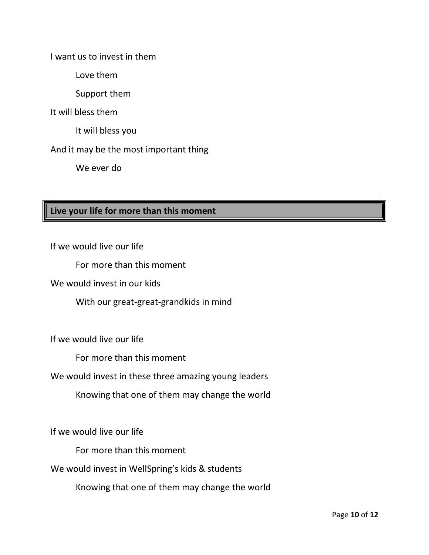I want us to invest in them

Love them

Support them

It will bless them

It will bless you

And it may be the most important thing

We ever do

# **Live your life for more than this moment**

If we would live our life

For more than this moment

We would invest in our kids

With our great-great-grandkids in mind

If we would live our life

For more than this moment

We would invest in these three amazing young leaders

Knowing that one of them may change the world

If we would live our life

For more than this moment

We would invest in WellSpring's kids & students

Knowing that one of them may change the world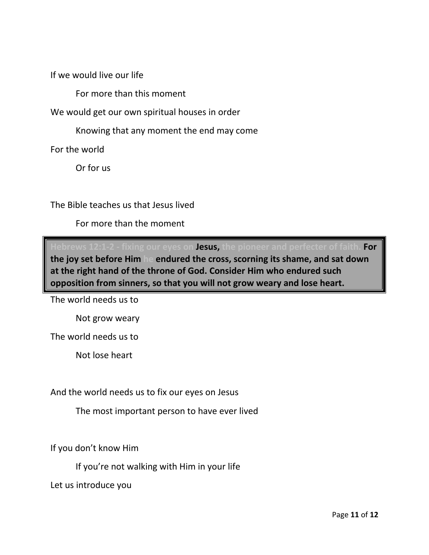If we would live our life

For more than this moment

We would get our own spiritual houses in order

Knowing that any moment the end may come

For the world

Or for us

The Bible teaches us that Jesus lived

For more than the moment

**Hebrews 12:1-2 - fixing our eyes on Jesus, the pioneer and perfecter of faith. For the joy set before Him he endured the cross, scorning its shame, and sat down at the right hand of the throne of God. Consider Him who endured such opposition from sinners, so that you will not grow weary and lose heart.**

The world needs us to

Not grow weary

The world needs us to

Not lose heart

And the world needs us to fix our eyes on Jesus

The most important person to have ever lived

If you don't know Him

If you're not walking with Him in your life

Let us introduce you